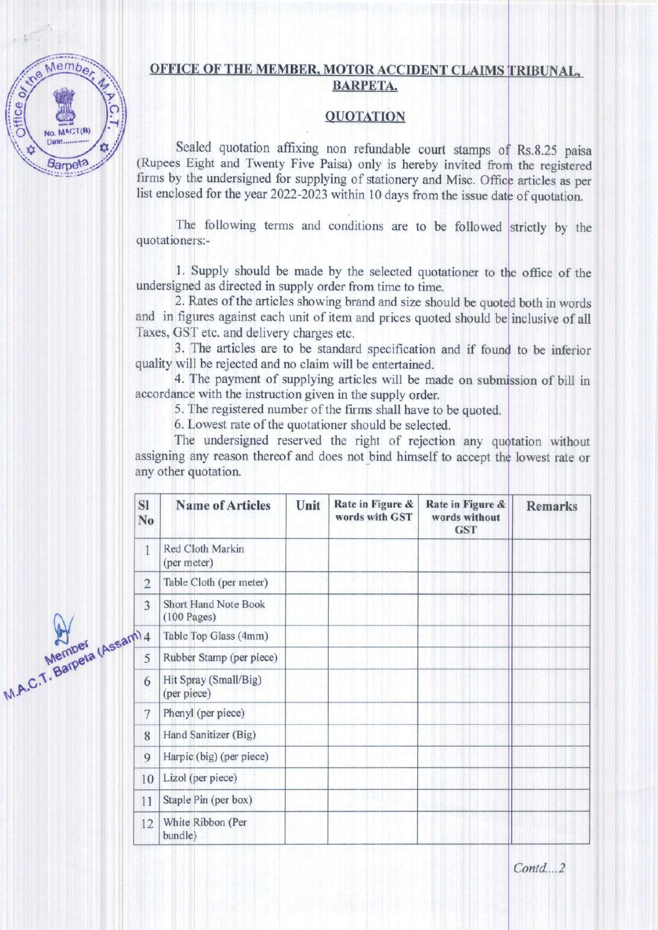## OFFICE OF THE MEMBER, MOTOR ACCIDENT CLAIMS TRIBUNAL, BARPETA.

## **OUOTATION**

Sealed quotation affixing non refundable court stamps of Rs.8.25 paisa (Rupees Eight and Twenty Five Paisa) only is hereby invited from the registered firms by the undersigned for supplying of stationery and Misc. Office articles as per list enclosed for the year 2022-2023 within 10 days from the issue date of quotation.

The following terms and conditions are to be followed strictly by the quotationers:-

1. Supply should be made by the selected quotationer to the office of the undersigned as directed in supply order from time to time.

and in figures against each unit of item and prices quoted should be inclusive of all Taxes, GST etc. and delivery charges etc. 2. Rates of the articles showing brand and size should be quoted both in words

3. The articles are to be standard specification and if found to be inferior quality will be rejected and no claim will be entertained.

4. The payment of supplying articles will be made on submission of bill in accordance with the instruction given in the supply order.

5. The registered number of the frms shall have to be quoted.

6. Lowest rate of the quotationer should be selected.

assigning any reason thereof and does not bind himself to accept lowest rafe or any other quotation. The undersigned reserved the right of rejection any quotation without

| SI<br>N <sub>o</sub> | <b>Name of Articles</b>                      | Unit | Rate in Figure &<br>words with GST | Rate in Figure &<br>words without<br><b>GST</b> | <b>Remarks</b> |
|----------------------|----------------------------------------------|------|------------------------------------|-------------------------------------------------|----------------|
| 1                    | Red Cloth Markin<br>(per meter)              |      |                                    |                                                 |                |
| $\overline{2}$       | Table Cloth (per meter)                      |      |                                    |                                                 |                |
| 3                    | <b>Short Hand Note Book</b><br>$(100$ Pages) |      |                                    |                                                 |                |
| m <sub>4</sub>       | Table Top Glass (4mm)                        |      |                                    |                                                 |                |
| 5                    | Rubber Stamp (per piece)                     |      |                                    |                                                 |                |
| 6                    | Hit Spray (Small/Big)<br>(per piece)         |      |                                    |                                                 |                |
| 7                    | Phenyl (per piece)                           |      |                                    |                                                 |                |
| 8                    | Hand Sanitizer (Big)                         |      |                                    |                                                 |                |
| 9                    | Harpic (big) (per piece)                     |      |                                    |                                                 |                |
| 10                   | Lizol (per piece)                            |      |                                    |                                                 |                |
| 11                   | Staple Pin (per box)                         |      |                                    |                                                 |                |
| 12                   | White Ribbon (Per<br>bundle)                 |      |                                    |                                                 |                |

Membe, **Office of** No. MACT(B) Date. **Barpeta** 

Mearpeta

 $W_{\mathbf{b}}$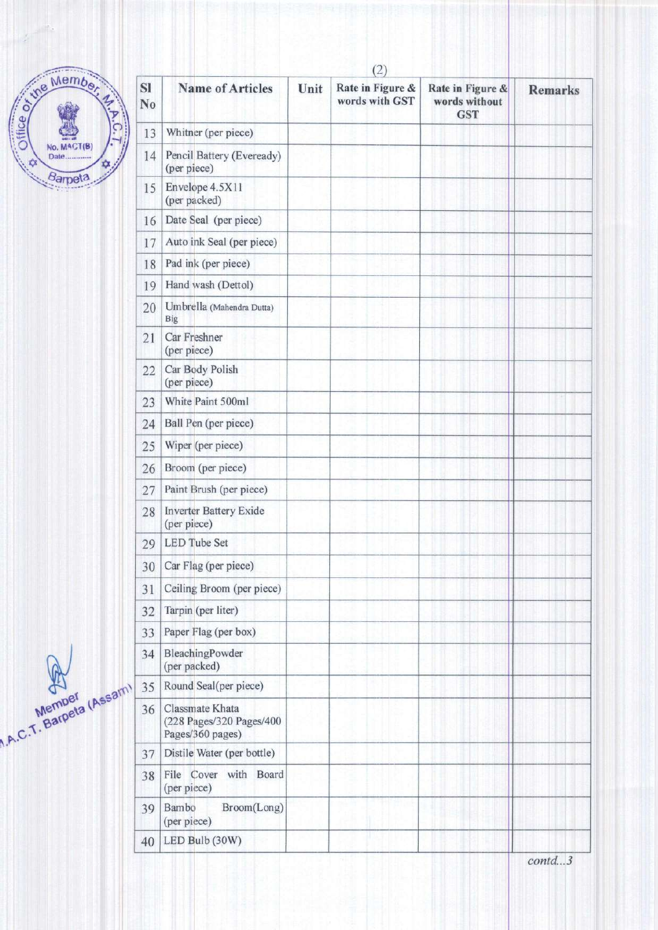

| SI<br>No | <b>Name of Articles</b>                                         | Unit | Rate in Figure &<br>words with GST | Rate in Figure &<br>words without<br><b>GST</b> | <b>Remarks</b> |
|----------|-----------------------------------------------------------------|------|------------------------------------|-------------------------------------------------|----------------|
| 13       | Whitner (per piece)                                             |      |                                    |                                                 |                |
| 14       | Pencil Battery (Eveready)<br>(per piece)                        |      |                                    |                                                 |                |
| 15       | Envelope 4.5X11<br>(per packed)                                 |      |                                    |                                                 |                |
| 16       | Date Seal (per piece)                                           |      |                                    |                                                 |                |
| 17       | Auto ink Seal (per piece)                                       |      |                                    |                                                 |                |
| 18       | Pad ink (per piece)                                             |      |                                    |                                                 |                |
| 19       | Hand wash (Dettol)                                              |      |                                    |                                                 |                |
| 20       | Umbrella (Mahendra Dutta)<br>Big                                |      |                                    |                                                 |                |
| 21       | Car Freshner<br>(per piece)                                     |      |                                    |                                                 |                |
| 22       | Car Body Polish<br>(per piece)                                  |      |                                    |                                                 |                |
| 23       | White Paint 500ml                                               |      |                                    |                                                 |                |
| 24       | Ball Pen (per piece)                                            |      |                                    |                                                 |                |
| 25       | Wiper (per piece)                                               |      |                                    |                                                 |                |
| 26       | Broom (per piece)                                               |      |                                    |                                                 |                |
| 27       | Paint Brush (per piece)                                         |      |                                    |                                                 |                |
| 28       | <b>Inverter Battery Exide</b><br>(per piece)                    |      |                                    |                                                 |                |
| 29       | <b>LED Tube Set</b>                                             |      |                                    |                                                 |                |
| 30       | Car Flag (per piece)                                            |      |                                    |                                                 |                |
| 31       | Ceiling Broom (per piece)                                       |      |                                    |                                                 |                |
| 32       | Tarpin (per liter)                                              |      |                                    |                                                 |                |
| 33       | Paper Flag (per box)                                            |      |                                    |                                                 |                |
| 34       | BleachingPowder<br>(per packed)                                 |      |                                    |                                                 |                |
| 35       | Round Seal(per piece)                                           |      |                                    |                                                 |                |
| 36       | Classmate Khata<br>(228 Pages/320 Pages/400<br>Pages/360 pages) |      |                                    |                                                 |                |
| 37       | Distile Water (per bottle)                                      |      |                                    |                                                 |                |
| 38       | File Cover with Board<br>(per piece)                            |      |                                    |                                                 |                |
| 39       | Broom(Long)<br>Bambo<br>(per piece)                             |      |                                    |                                                 |                |
| 40       | LED Bulb (30W)                                                  |      |                                    |                                                 |                |

Members (Assam)

 $contd...3$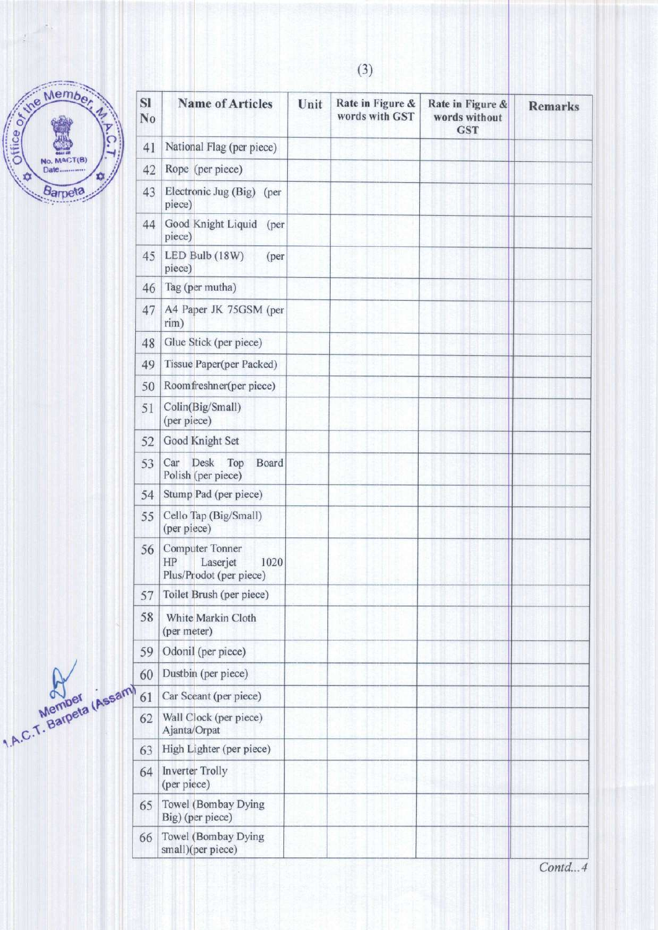

| Member.<br>Office or the                     | SI<br>No | <b>Name of Articles</b>                                              | Unit | Rate in Figure &<br>words with GST | Rate in Figure &<br>words without<br><b>GST</b> | <b>Remarks</b> |
|----------------------------------------------|----------|----------------------------------------------------------------------|------|------------------------------------|-------------------------------------------------|----------------|
| С                                            | 41       | National Flag (per piece)                                            |      |                                    |                                                 |                |
| No. MACT(B)<br>Date<br>$\mathbf{D}$          | 42       | Rope (per piece)                                                     |      |                                    |                                                 |                |
| Barpeta                                      | 43       | Electronic Jug (Big) (per<br>piece)                                  |      |                                    |                                                 |                |
|                                              | 44       | Good Knight Liquid (per<br>piece)                                    |      |                                    |                                                 |                |
|                                              | 45       | LED Bulb (18W)<br>(per<br>piece)                                     |      |                                    |                                                 |                |
|                                              | 46       | Tag (per mutha)                                                      |      |                                    |                                                 |                |
|                                              | 47       | A4 Paper JK 75GSM (per<br>rim)                                       |      |                                    |                                                 |                |
|                                              | 48       | Glue Stick (per piece)                                               |      |                                    |                                                 |                |
|                                              | 49       | Tissue Paper(per Packed)                                             |      |                                    |                                                 |                |
|                                              | 50       | Roomfreshner(per piece)                                              |      |                                    |                                                 |                |
|                                              | 51       | Colin(Big/Small)<br>(per piece)                                      |      |                                    |                                                 |                |
|                                              | 52       | Good Knight Set                                                      |      |                                    |                                                 |                |
|                                              | 53       | Car Desk Top<br>Board<br>Polish (per piece)                          |      |                                    |                                                 |                |
|                                              | 54       | Stump Pad (per piece)                                                |      |                                    |                                                 |                |
|                                              | 55       | Cello Tap (Big/Small)<br>(per piece)                                 |      |                                    |                                                 |                |
|                                              | 56       | Computer Tonner<br>Laserjet<br>1020<br>HP<br>Plus/Prodot (per piece) |      |                                    |                                                 |                |
|                                              | 57       | Toilet Brush (per piece)                                             |      |                                    |                                                 |                |
|                                              | 58       | White Markin Cloth<br>(per meter)                                    |      |                                    |                                                 |                |
|                                              | 59       | Odonil (per piece)                                                   |      |                                    |                                                 |                |
|                                              | 60       | Dustbin (per piece)                                                  |      |                                    |                                                 |                |
|                                              | 61       | Car Sceant (per piece)                                               |      |                                    |                                                 |                |
| Member<br>Member<br>1.A.C.T. Barpeta (Assam) | 62       | Wall Clock (per piece)<br>Ajanta/Orpat                               |      |                                    |                                                 |                |
|                                              | 63       | High Lighter (per piece)                                             |      |                                    |                                                 |                |
|                                              | 64       | <b>Inverter Trolly</b><br>(per piece)                                |      |                                    |                                                 |                |
|                                              | 65       | Towel (Bombay Dying<br>Big) (per piece)                              |      |                                    |                                                 |                |
|                                              | 66       | Towel (Bombay Dying<br>small)(per piece)                             |      |                                    |                                                 |                |

 $(3)$ 

Contd...4